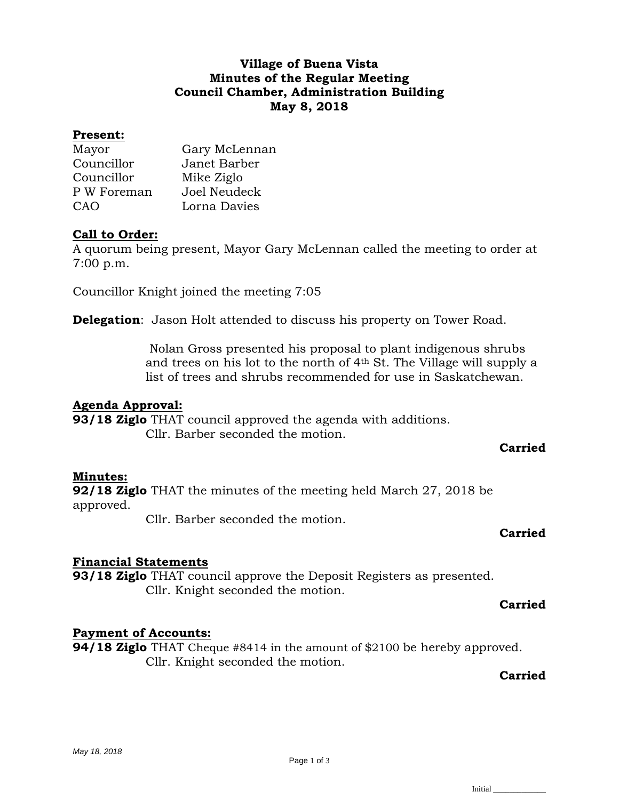## **Village of Buena Vista Minutes of the Regular Meeting Council Chamber, Administration Building May 8, 2018**

#### **Present:**

| Mayor       | Gary McLennan |
|-------------|---------------|
| Councillor  | Janet Barber  |
| Councillor  | Mike Ziglo    |
| P W Foreman | Joel Neudeck  |
| CAO         | Lorna Davies  |

## **Call to Order:**

A quorum being present, Mayor Gary McLennan called the meeting to order at 7:00 p.m.

Councillor Knight joined the meeting 7:05

**Delegation**: Jason Holt attended to discuss his property on Tower Road.

Nolan Gross presented his proposal to plant indigenous shrubs and trees on his lot to the north of 4th St. The Village will supply a list of trees and shrubs recommended for use in Saskatchewan.

#### **Agenda Approval:**

**93/18 Ziglo** THAT council approved the agenda with additions. Cllr. Barber seconded the motion.

## **Carried**

#### **Minutes:**

**92/18 Ziglo** THAT the minutes of the meeting held March 27, 2018 be approved.

Cllr. Barber seconded the motion.

#### **Carried**

## **Financial Statements**

**93/18 Ziglo** THAT council approve the Deposit Registers as presented. Cllr. Knight seconded the motion.

#### **Carried**

## **Payment of Accounts:**

**94/18 Ziglo** THAT Cheque #8414 in the amount of \$2100 be hereby approved. Cllr. Knight seconded the motion.

## **Carried**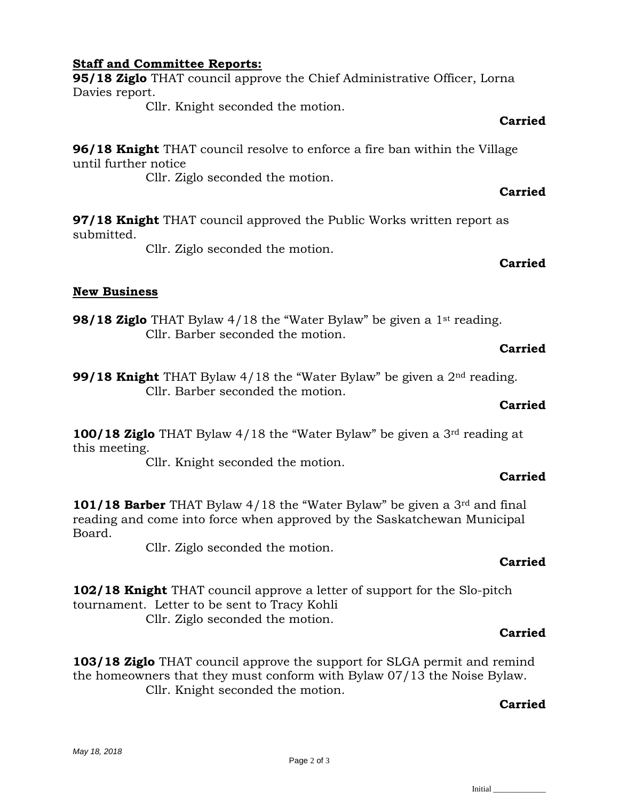#### **Staff and Committee Reports:**

**95/18 Ziglo** THAT council approve the Chief Administrative Officer, Lorna Davies report.

Cllr. Knight seconded the motion.

#### **Carried**

**96/18 Knight** THAT council resolve to enforce a fire ban within the Village until further notice

Cllr. Ziglo seconded the motion.

## **Carried**

**97/18 Knight** THAT council approved the Public Works written report as submitted.

Cllr. Ziglo seconded the motion.

#### **Carried**

## **New Business**

**98/18 Ziglo** THAT Bylaw 4/18 the "Water Bylaw" be given a 1<sup>st</sup> reading. Cllr. Barber seconded the motion.

#### **Carried**

**99/18 Knight** THAT Bylaw 4/18 the "Water Bylaw" be given a 2nd reading. Cllr. Barber seconded the motion.

#### **Carried**

**100/18 Ziglo** THAT Bylaw 4/18 the "Water Bylaw" be given a 3rd reading at this meeting.

Cllr. Knight seconded the motion.

# **Carried**

**101/18 Barber** THAT Bylaw 4/18 the "Water Bylaw" be given a 3rd and final reading and come into force when approved by the Saskatchewan Municipal Board.

Cllr. Ziglo seconded the motion.

# **Carried**

**102/18 Knight** THAT council approve a letter of support for the Slo-pitch tournament. Letter to be sent to Tracy Kohli Cllr. Ziglo seconded the motion.

## **Carried**

**103/18 Ziglo** THAT council approve the support for SLGA permit and remind the homeowners that they must conform with Bylaw 07/13 the Noise Bylaw. Cllr. Knight seconded the motion.

## **Carried**